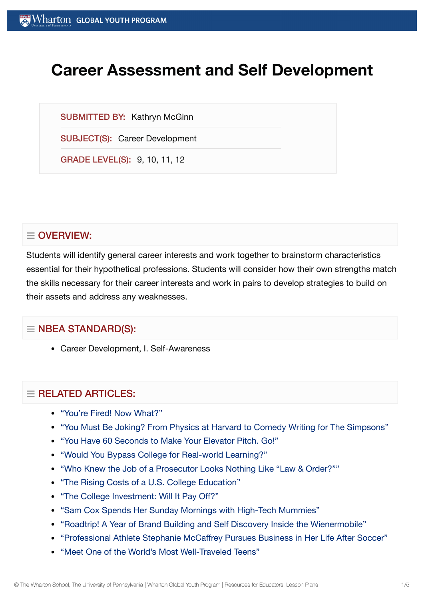# **Career Assessment and Self Development**

SUBMITTED BY: Kathryn McGinn

SUBJECT(S): Career Development

GRADE LEVEL(S): 9, 10, 11, 12

## $\equiv$  OVERVIEW:

Students will identify general career interests and work together to brainstorm characteristics essential for their hypothetical professions. Students will consider how their own strengths match the skills necessary for their career interests and work in pairs to develop strategies to build on their assets and address any weaknesses.

## $\equiv$  NBEA STANDARD(S):

Career Development, I. Self-Awareness

## $=$  RELATED ARTICLES:

- "You're Fired! Now [What?"](https://globalyouth.wharton.upenn.edu/articles/youre-fired-now-what/)
- "You Must Be Joking? From Physics at Harvard to [Comedy Writing](https://globalyouth.wharton.upenn.edu/articles/you-must-be-joking-from-physics-at-harvard-to-comedy-writing-for-the-simpsons/) for The Simpsons"
- "You Have 60 [Seconds to](https://globalyouth.wharton.upenn.edu/articles/60-second-elevator-pitch/) Make Your Elevator Pitch. Go!"
- "Would You [Bypass College](https://globalyouth.wharton.upenn.edu/articles/bypass-college-for-real-world-learning/) for Real-world Learning?"
- "Who Knew the Job of a Prosecutor [Looks Nothing](https://globalyouth.wharton.upenn.edu/articles/who-knew-the-job-of-a-prosecutor-looks-nothing-like-law-order/) Like "Law & Order?""
- "The Rising Costs of a U.S. College [Education"](https://globalyouth.wharton.upenn.edu/articles/the-rising-costs-of-a-college-education/)
- "The College [Investment:](https://globalyouth.wharton.upenn.edu/articles/the-college-investment-will-it-pay-off/) Will It Pay Off?"
- "Sam Cox Spends Her [Sunday Mornings with](https://globalyouth.wharton.upenn.edu/articles/sam-cox-spends-her-sunday-mornings-with-high-tech-mummies/) High-Tech Mummies"
- "Roadtrip! A Year of Brand Building and Self [Discovery Inside](https://globalyouth.wharton.upenn.edu/articles/roadtrip-year-brand-building-self-discovery-inside-wienermobile/) the Wienermobile"
- "Professional Athlete Stephanie [McCaffrey Pursues Business in](https://globalyouth.wharton.upenn.edu/articles/us-womens-national-soccer-team-player-pursues-business/) Her Life After Soccer"
- "Meet One of the World's Most [Well-Traveled](https://globalyouth.wharton.upenn.edu/articles/meet-one-of-the-worlds-most-well-traveled-teens/) Teens"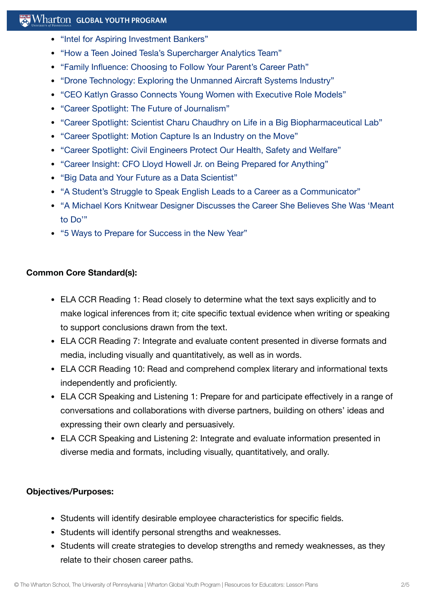## $\mathbb{R}$  Wharton Global Youth Program

- "Intel for Aspiring [Investment](https://globalyouth.wharton.upenn.edu/articles/intel-for-aspiring-investment-bankers/) Bankers"
- "How a Teen Joined [Tesla's Supercharger](https://globalyouth.wharton.upenn.edu/articles/how-a-teen-joined-teslas-supercharger-analytics-team/) Analytics Team"
- ["Family Influence:](https://globalyouth.wharton.upenn.edu/articles/family-influence-choosing-to-follow-your-parent%e2%80%99s-career-path/) Choosing to Follow Your Parent's Career Path"
- "Drone Technology: Exploring the Unmanned Aircraft [Systems Industry"](https://globalyouth.wharton.upenn.edu/articles/drone-technology-exploring-unmanned-aircraft-system-industry/)
- "CEO Katlyn Grasso [Connects Young](https://globalyouth.wharton.upenn.edu/articles/katlyn-grasso-young-women-executive-role-models/) Women with Executive Role Models"
- "Career Spotlight: The Future of [Journalism"](https://globalyouth.wharton.upenn.edu/articles/future-of-journalism/)
- "Career Spotlight: Scientist Charu Chaudhry on Life in a Big [Biopharmaceutical](https://globalyouth.wharton.upenn.edu/articles/career-spotlight-scientist-charu-chaudhry-on-life-in-a-big-biopharmaceutical-lab/) Lab"
- "Career Spotlight: Motion Capture Is an [Industry on](https://globalyouth.wharton.upenn.edu/articles/careers-motion-capture-industry-on-the-move/) the Move"
- "Career Spotlight: Civil [Engineers Protect](https://globalyouth.wharton.upenn.edu/articles/career-spotlight-civil-engineers-protect-health-safety-welfare/) Our Health, Safety and Welfare"
- "Career Insight: CFO Lloyd Howell Jr. on Being Prepared for [Anything"](https://globalyouth.wharton.upenn.edu/articles/career-insight-cfo-lloyd-howell-jr-prepared-anything/)
- "Big Data and Your Future as a Data [Scientist"](https://globalyouth.wharton.upenn.edu/articles/your-future-as-a-data/)
- "A [Student's Struggle](https://globalyouth.wharton.upenn.edu/articles/struggle-speak-english-better-communicator/) to Speak English Leads to a Career as a Communicator"
- "A Michael [Kors Knitwear](https://globalyouth.wharton.upenn.edu/articles/knitwear-designer-michael-kors-career/) Designer Discusses the Career She Believes She Was 'Meant to Do'"
- "5 Ways to Prepare for [Success in](https://globalyouth.wharton.upenn.edu/articles/a-new-year-and-new-opportunities-are-you-ready/) the New Year"

### **Common Core Standard(s):**

- ELA CCR Reading 1: Read closely to determine what the text says explicitly and to make logical inferences from it; cite specific textual evidence when writing or speaking to support conclusions drawn from the text.
- ELA CCR Reading 7: Integrate and evaluate content presented in diverse formats and media, including visually and quantitatively, as well as in words.
- ELA CCR Reading 10: Read and comprehend complex literary and informational texts independently and proficiently.
- ELA CCR Speaking and Listening 1: Prepare for and participate effectively in a range of conversations and collaborations with diverse partners, building on others' ideas and expressing their own clearly and persuasively.
- ELA CCR Speaking and Listening 2: Integrate and evaluate information presented in diverse media and formats, including visually, quantitatively, and orally.

#### **Objectives/Purposes:**

- Students will identify desirable employee characteristics for specific fields.
- Students will identify personal strengths and weaknesses.
- Students will create strategies to develop strengths and remedy weaknesses, as they relate to their chosen career paths.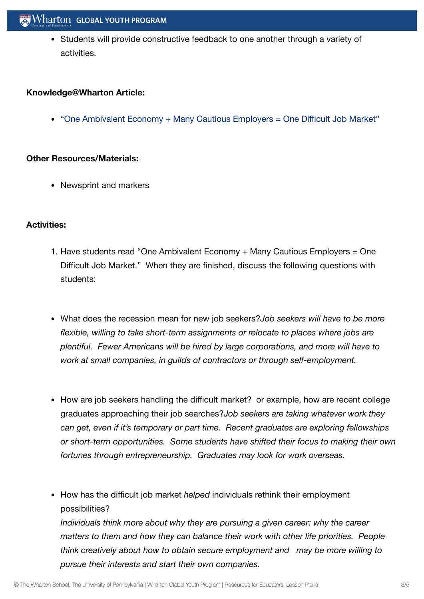Students will provide constructive feedback to one another through a variety of activities.

#### **Knowledge@Wharton Article:**

• "One Ambivalent Economy + [Many Cautious Employers =](http://knowledge.wharton.upenn.edu/article.cfm?articleid=2421) One Difficult Job Market"

#### **Other Resources/Materials:**

• Newsprint and markers

#### **Activities:**

- 1. Have students read "One Ambivalent Economy + Many Cautious Employers = One Difficult Job Market." When they are finished, discuss the following questions with students:
- What does the recession mean for new job seekers?*Job seekers will have to be more flexible, willing to take short-term assignments or relocate to places where jobs are plentiful. Fewer Americans will be hired by large corporations, and more will have to work at small companies, in guilds of contractors or through self-employment.*
- How are job seekers handling the difficult market? or example, how are recent college graduates approaching their job searches?*Job seekers are taking whatever work they can get, even if it's temporary or part time. Recent graduates are exploring fellowships or short-term opportunities. Some students have shifted their focus to making their own fortunes through entrepreneurship. Graduates may look for work overseas.*
- How has the difficult job market *helped* individuals rethink their employment possibilities?

*Individuals think more about why they are pursuing a given career: why the career matters to them and how they can balance their work with other life priorities. People think creatively about how to obtain secure employment and may be more willing to pursue their interests and start their own companies.*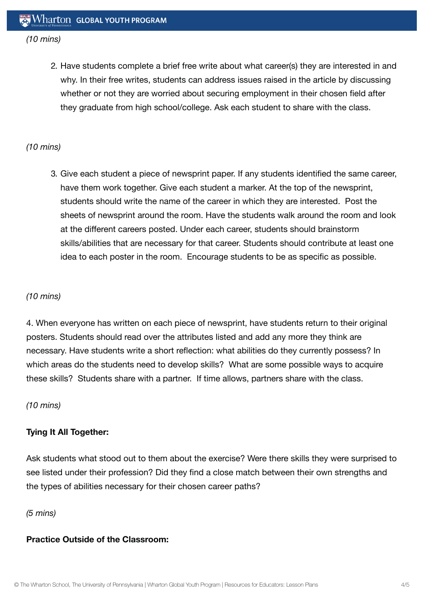#### *(10 mins)*

2. Have students complete a brief free write about what career(s) they are interested in and why. In their free writes, students can address issues raised in the article by discussing whether or not they are worried about securing employment in their chosen field after they graduate from high school/college. Ask each student to share with the class.

#### *(10 mins)*

3. Give each student a piece of newsprint paper. If any students identified the same career, have them work together. Give each student a marker. At the top of the newsprint, students should write the name of the career in which they are interested. Post the sheets of newsprint around the room. Have the students walk around the room and look at the different careers posted. Under each career, students should brainstorm skills/abilities that are necessary for that career. Students should contribute at least one idea to each poster in the room. Encourage students to be as specific as possible.

#### *(10 mins)*

4. When everyone has written on each piece of newsprint, have students return to their original posters. Students should read over the attributes listed and add any more they think are necessary. Have students write a short reflection: what abilities do they currently possess? In which areas do the students need to develop skills? What are some possible ways to acquire these skills? Students share with a partner. If time allows, partners share with the class.

#### *(10 mins)*

#### **Tying It All Together:**

Ask students what stood out to them about the exercise? Were there skills they were surprised to see listed under their profession? Did they find a close match between their own strengths and the types of abilities necessary for their chosen career paths?

#### *(5 mins)*

#### **Practice Outside of the Classroom:**